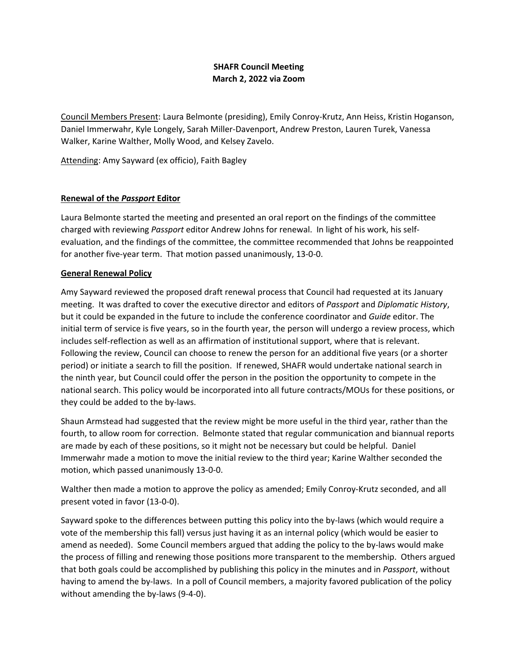# **SHAFR Council Meeting March 2, 2022 via Zoom**

Council Members Present: Laura Belmonte (presiding), Emily Conroy-Krutz, Ann Heiss, Kristin Hoganson, Daniel Immerwahr, Kyle Longely, Sarah Miller-Davenport, Andrew Preston, Lauren Turek, Vanessa Walker, Karine Walther, Molly Wood, and Kelsey Zavelo.

Attending: Amy Sayward (ex officio), Faith Bagley

## **Renewal of the** *Passport* **Editor**

Laura Belmonte started the meeting and presented an oral report on the findings of the committee charged with reviewing *Passport* editor Andrew Johns for renewal. In light of his work, his selfevaluation, and the findings of the committee, the committee recommended that Johns be reappointed for another five-year term. That motion passed unanimously, 13-0-0.

#### **General Renewal Policy**

Amy Sayward reviewed the proposed draft renewal process that Council had requested at its January meeting. It was drafted to cover the executive director and editors of *Passport* and *Diplomatic History*, but it could be expanded in the future to include the conference coordinator and *Guide* editor. The initial term of service is five years, so in the fourth year, the person will undergo a review process, which includes self-reflection as well as an affirmation of institutional support, where that is relevant. Following the review, Council can choose to renew the person for an additional five years (or a shorter period) or initiate a search to fill the position. If renewed, SHAFR would undertake national search in the ninth year, but Council could offer the person in the position the opportunity to compete in the national search. This policy would be incorporated into all future contracts/MOUs for these positions, or they could be added to the by-laws.

Shaun Armstead had suggested that the review might be more useful in the third year, rather than the fourth, to allow room for correction. Belmonte stated that regular communication and biannual reports are made by each of these positions, so it might not be necessary but could be helpful. Daniel Immerwahr made a motion to move the initial review to the third year; Karine Walther seconded the motion, which passed unanimously 13-0-0.

Walther then made a motion to approve the policy as amended; Emily Conroy-Krutz seconded, and all present voted in favor (13-0-0).

Sayward spoke to the differences between putting this policy into the by-laws (which would require a vote of the membership this fall) versus just having it as an internal policy (which would be easier to amend as needed). Some Council members argued that adding the policy to the by-laws would make the process of filling and renewing those positions more transparent to the membership. Others argued that both goals could be accomplished by publishing this policy in the minutes and in *Passport*, without having to amend the by-laws. In a poll of Council members, a majority favored publication of the policy without amending the by-laws (9-4-0).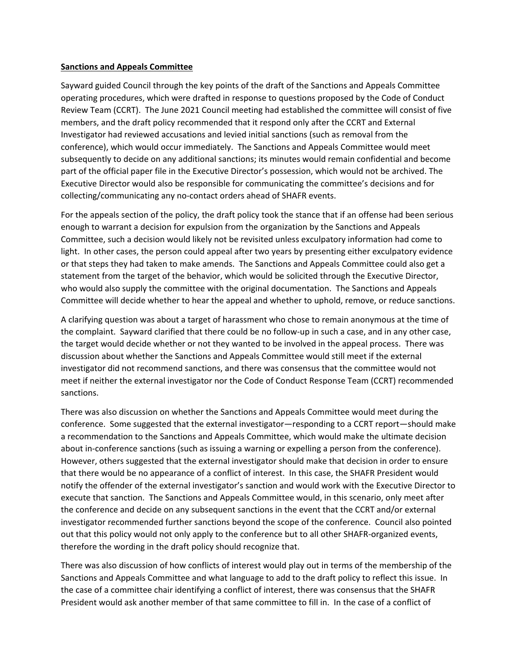#### **Sanctions and Appeals Committee**

Sayward guided Council through the key points of the draft of the Sanctions and Appeals Committee operating procedures, which were drafted in response to questions proposed by the Code of Conduct Review Team (CCRT). The June 2021 Council meeting had established the committee will consist of five members, and the draft policy recommended that it respond only after the CCRT and External Investigator had reviewed accusations and levied initial sanctions (such as removal from the conference), which would occur immediately. The Sanctions and Appeals Committee would meet subsequently to decide on any additional sanctions; its minutes would remain confidential and become part of the official paper file in the Executive Director's possession, which would not be archived. The Executive Director would also be responsible for communicating the committee's decisions and for collecting/communicating any no-contact orders ahead of SHAFR events.

For the appeals section of the policy, the draft policy took the stance that if an offense had been serious enough to warrant a decision for expulsion from the organization by the Sanctions and Appeals Committee, such a decision would likely not be revisited unless exculpatory information had come to light. In other cases, the person could appeal after two years by presenting either exculpatory evidence or that steps they had taken to make amends. The Sanctions and Appeals Committee could also get a statement from the target of the behavior, which would be solicited through the Executive Director, who would also supply the committee with the original documentation. The Sanctions and Appeals Committee will decide whether to hear the appeal and whether to uphold, remove, or reduce sanctions.

A clarifying question was about a target of harassment who chose to remain anonymous at the time of the complaint. Sayward clarified that there could be no follow-up in such a case, and in any other case, the target would decide whether or not they wanted to be involved in the appeal process. There was discussion about whether the Sanctions and Appeals Committee would still meet if the external investigator did not recommend sanctions, and there was consensus that the committee would not meet if neither the external investigator nor the Code of Conduct Response Team (CCRT) recommended sanctions.

There was also discussion on whether the Sanctions and Appeals Committee would meet during the conference. Some suggested that the external investigator—responding to a CCRT report—should make a recommendation to the Sanctions and Appeals Committee, which would make the ultimate decision about in-conference sanctions (such as issuing a warning or expelling a person from the conference). However, others suggested that the external investigator should make that decision in order to ensure that there would be no appearance of a conflict of interest. In this case, the SHAFR President would notify the offender of the external investigator's sanction and would work with the Executive Director to execute that sanction. The Sanctions and Appeals Committee would, in this scenario, only meet after the conference and decide on any subsequent sanctions in the event that the CCRT and/or external investigator recommended further sanctions beyond the scope of the conference. Council also pointed out that this policy would not only apply to the conference but to all other SHAFR-organized events, therefore the wording in the draft policy should recognize that.

There was also discussion of how conflicts of interest would play out in terms of the membership of the Sanctions and Appeals Committee and what language to add to the draft policy to reflect this issue. In the case of a committee chair identifying a conflict of interest, there was consensus that the SHAFR President would ask another member of that same committee to fill in. In the case of a conflict of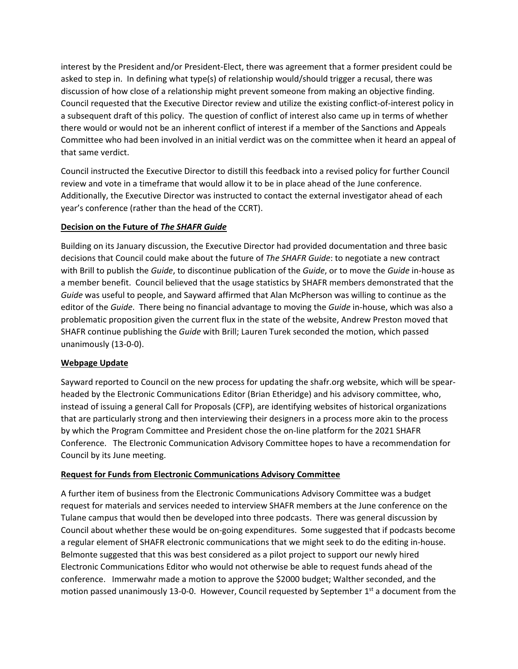interest by the President and/or President-Elect, there was agreement that a former president could be asked to step in. In defining what type(s) of relationship would/should trigger a recusal, there was discussion of how close of a relationship might prevent someone from making an objective finding. Council requested that the Executive Director review and utilize the existing conflict-of-interest policy in a subsequent draft of this policy. The question of conflict of interest also came up in terms of whether there would or would not be an inherent conflict of interest if a member of the Sanctions and Appeals Committee who had been involved in an initial verdict was on the committee when it heard an appeal of that same verdict.

Council instructed the Executive Director to distill this feedback into a revised policy for further Council review and vote in a timeframe that would allow it to be in place ahead of the June conference. Additionally, the Executive Director was instructed to contact the external investigator ahead of each year's conference (rather than the head of the CCRT).

## **Decision on the Future of** *The SHAFR Guide*

Building on its January discussion, the Executive Director had provided documentation and three basic decisions that Council could make about the future of *The SHAFR Guide*: to negotiate a new contract with Brill to publish the *Guide*, to discontinue publication of the *Guide*, or to move the *Guide* in-house as a member benefit. Council believed that the usage statistics by SHAFR members demonstrated that the *Guide* was useful to people, and Sayward affirmed that Alan McPherson was willing to continue as the editor of the *Guide*. There being no financial advantage to moving the *Guide* in-house, which was also a problematic proposition given the current flux in the state of the website, Andrew Preston moved that SHAFR continue publishing the *Guide* with Brill; Lauren Turek seconded the motion, which passed unanimously (13-0-0).

# **Webpage Update**

Sayward reported to Council on the new process for updating the shafr.org website, which will be spearheaded by the Electronic Communications Editor (Brian Etheridge) and his advisory committee, who, instead of issuing a general Call for Proposals (CFP), are identifying websites of historical organizations that are particularly strong and then interviewing their designers in a process more akin to the process by which the Program Committee and President chose the on-line platform for the 2021 SHAFR Conference. The Electronic Communication Advisory Committee hopes to have a recommendation for Council by its June meeting.

#### **Request for Funds from Electronic Communications Advisory Committee**

A further item of business from the Electronic Communications Advisory Committee was a budget request for materials and services needed to interview SHAFR members at the June conference on the Tulane campus that would then be developed into three podcasts. There was general discussion by Council about whether these would be on-going expenditures. Some suggested that if podcasts become a regular element of SHAFR electronic communications that we might seek to do the editing in-house. Belmonte suggested that this was best considered as a pilot project to support our newly hired Electronic Communications Editor who would not otherwise be able to request funds ahead of the conference. Immerwahr made a motion to approve the \$2000 budget; Walther seconded, and the motion passed unanimously 13-0-0. However, Council requested by September 1<sup>st</sup> a document from the